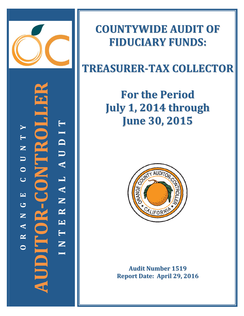

**‐CONTROLLER TYI T D** OR-CONTR **N U U A O L C A EN G R AUDITOR N E A T R NIQNI N OI**

# **COUNTYWIDE AUDIT OF FIDUCIARY FUNDS:**

# **TREASURER‐TAX COLLECTOR**

# **For the Period July 1, 2014 through June 30, 2015**



**Audit Number 1519 Report Date: April 29, 2016**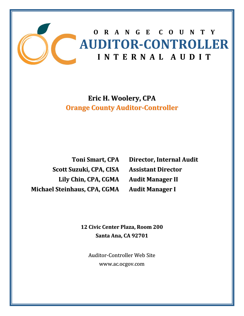

# **Eric H. Woolery, CPA Orange County Auditor‐Controller**

**Toni Smart, CPA Scott Suzuki, CPA, CISA Lily Chin, CPA, CGMA Michael Steinhaus, CPA, CGMA**

**Director, Internal Audit Assistant Director Audit Manager II Audit Manager I**

**12 Civic Center Plaza, Room 200 Santa Ana, CA 92701**

Auditor‐Controller Web Site www.ac.ocgov.com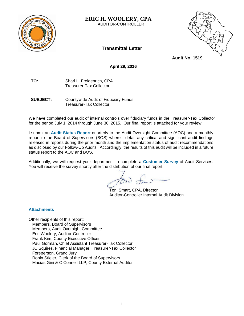

**ERIC H. WOOLERY, CPA**  AUDITOR-CONTROLLER



**Transmittal Letter** 

**Audit No. 1519** 

**April 29, 2016** 

**TO:** Shari L. Freidenrich, CPA Treasurer-Tax Collector

**SUBJECT:** Countywide Audit of Fiduciary Funds: Treasurer-Tax Collector

We have completed our audit of internal controls over fiduciary funds in the Treasurer-Tax Collector for the period July 1, 2014 through June 30, 2015. Our final report is attached for your review.

I submit an **Audit Status Report** quarterly to the Audit Oversight Committee (AOC) and a monthly report to the Board of Supervisors (BOS) where I detail any critical and significant audit findings released in reports during the prior month and the implementation status of audit recommendations as disclosed by our Follow-Up Audits. Accordingly, the results of this audit will be included in a future status report to the AOC and BOS.

Additionally, we will request your department to complete a **Customer Survey** of Audit Services. You will receive the survey shortly after the distribution of our final report.

Toni Smart, CPA, Director Auditor-Controller Internal Audit Division

#### **Attachments**

Other recipients of this report: Members, Board of Supervisors Members, Audit Oversight Committee Eric Woolery, Auditor-Controller Frank Kim, County Executive Officer Paul Gorman, Chief Assistant Treasurer-Tax Collector JC Squires, Financial Manager, Treasurer-Tax Collector Foreperson, Grand Jury Robin Stieler, Clerk of the Board of Supervisors Macias Gini & O'Connell LLP, County External Auditor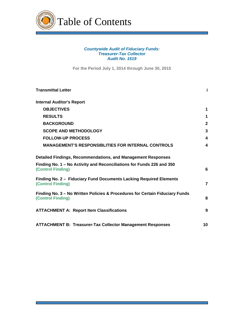

#### *Countywide Audit of Fiduciary Funds: Treasurer-Tax Collector Audit No. 1519*

**For the Period July 1, 2014 through June 30, 2015**

| <b>Transmittal Letter</b>                                                                         | j.             |
|---------------------------------------------------------------------------------------------------|----------------|
| <b>Internal Auditor's Report</b>                                                                  |                |
| <b>OBJECTIVES</b>                                                                                 | 1              |
| <b>RESULTS</b>                                                                                    | 1              |
| <b>BACKGROUND</b>                                                                                 | $\mathbf{2}$   |
| <b>SCOPE AND METHODOLOGY</b>                                                                      | 3              |
| <b>FOLLOW-UP PROCESS</b>                                                                          | 4              |
| <b>MANAGEMENT'S RESPONSIBLITIES FOR INTERNAL CONTROLS</b>                                         | 4              |
| Detailed Findings, Recommendations, and Management Responses                                      |                |
| Finding No. 1 – No Activity and Reconciliations for Funds 226 and 350<br>(Control Finding)        | 6              |
| Finding No. 2 – Fiduciary Fund Documents Lacking Required Elements<br>(Control Finding)           | $\overline{7}$ |
| Finding No. 3 – No Written Policies & Procedures for Certain Fiduciary Funds<br>(Control Finding) | 8              |
| <b>ATTACHMENT A: Report Item Classifications</b>                                                  | 9              |
| <b>ATTACHMENT B: Treasurer-Tax Collector Management Responses</b>                                 | 10             |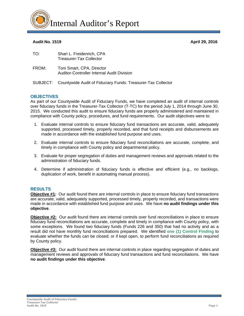

#### **Audit No. 1519 April 29, 2016**

| TO:   | Shari L. Freidenrich, CPA<br><b>Treasurer-Tax Collector</b>             |
|-------|-------------------------------------------------------------------------|
| FROM: | Toni Smart, CPA, Director<br>Auditor-Controller Internal Audit Division |
|       | SUBJECT: Countywide Audit of Fiduciary Funds: Treasurer-Tax Collector   |

### **OBJECTIVES**

As part of our Countywide Audit of Fiduciary Funds, we have completed an audit of internal controls over fiduciary funds in the Treasurer-Tax Collector (T-TC) for the period July 1, 2014 through June 30, 2015. We conducted this audit to ensure fiduciary funds are properly administered and maintained in compliance with County policy, procedures, and fund requirements. Our audit objectives were to:

- 1. Evaluate internal controls to ensure fiduciary fund transactions are accurate, valid, adequately supported, processed timely, properly recorded, and that fund receipts and disbursements are made in accordance with the established fund purpose and uses.
- 2. Evaluate internal controls to ensure fiduciary fund reconciliations are accurate, complete, and timely in compliance with County policy and departmental policy.
- 3. Evaluate for proper segregation of duties and management reviews and approvals related to the administration of fiduciary funds.
- 4. Determine if administration of fiduciary funds is effective and efficient (e.g., no backlogs, duplication of work, benefit in automating manual process).

#### **RESULTS**

**Objective #1:** Our audit found there are internal controls in place to ensure fiduciary fund transactions are accurate, valid, adequately supported, processed timely, properly recorded, and transactions were made in accordance with established fund purpose and uses. We have **no audit findings under this objective**.

**Objective #2:** Our audit found there are internal controls over fund reconciliations in place to ensure fiduciary fund reconciliations are accurate, complete and timely in compliance with County policy, with some exceptions. We found two fiduciary funds (Funds 226 and 350) that had no activity and as a result did not have monthly fund reconciliations prepared. We identified **one (1) Control Finding** to evaluate whether the funds can be closed; or if kept open, to perform fund reconciliations as required by County policy.

**Objective #3:** Our audit found there are internal controls in place regarding segregation of duties and management reviews and approvals of fiduciary fund transactions and fund reconciliations. We have **no audit findings under this objective**.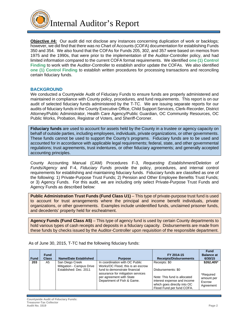

**Objective #4:** Our audit did not disclose any instances concerning duplication of work or backlogs; however, we did find that there was no Chart of Accounts (COFA) documentation for establishing Funds 350 and 354. We also found that the COFAs for Funds 205, 302, and 357 were based on memos from 1975 and the 1990s, that were prior to the implementation of the Auditor-Controller policy, and had limited information compared to the current COFA format requirements. We identified **one (1) Control Finding** to work with the Auditor-Controller to establish and/or update the COFAs. We also identified **one (1) Control Finding** to establish written procedures for processing transactions and reconciling certain fiduciary funds.

#### **BACKGROUND**

We conducted a Countywide Audit of Fiduciary Funds to ensure funds are properly administered and maintained in compliance with County policy, procedures, and fund requirements. This report is on our audit of selected fiduciary funds administered by the T-TC. We are issuing separate reports for our audits of fiduciary funds in the County Executive Office, Child Support Services, Clerk-Recorder, District Attorney/Public Administrator, Health Care Agency/Public Guardian, OC Community Resources, OC Public Works, Probation, Registrar of Voters, and Sheriff-Coroner.

**Fiduciary funds** are used to account for assets held by the County in a trustee or agency capacity on behalf of outside parties, including employees, individuals, private organizations, or other governments. These funds cannot be used to support the County's programs. Fiduciary funds are to be used and accounted for in accordance with applicable legal requirements; federal, state, and other governmental regulations; trust agreements, trust indentures, or other fiduciary agreements; and generally accepted accounting principles.

County Accounting Manual (CAM) Procedures F-3, *Requesting Establishment/Deletion of Funds/Agency* and F-4, *Fiduciary Funds* provide the policy, procedures, and internal control requirements for establishing and maintaining fiduciary funds. Fiduciary funds are classified as one of the following: 1) Private-Purpose Trust Funds; 2) Pension and Other Employee Benefits Trust Funds; or 3) Agency Funds. For this audit, we are including only select Private-Purpose Trust Funds and Agency Funds as described below:

**Public Administration Trust Funds (Fund Class U1)** – This type of private-purpose trust fund is used to account for trust arrangements where the principal and income benefit individuals, private organizations, or other governments. Examples include unidentified funds, unclaimed prisoner funds, and decedents' property held for escheatment.

**Agency Funds (Fund Class A5)** – This type of agency fund is used by certain County departments to hold various types of cash receipts and deposits in a fiduciary capacity. Disbursements are made from these funds by checks issued by the Auditor-Controller upon requisition of the responsible department.

| <b>Fund</b> | <b>Fund</b><br><b>Class</b> | Name/Date Established                                                  | <b>Purpose</b>                                                                                                                                                                                      | FY 2014-15<br><b>Receipts/Disbursements</b>                                                                                                                    | <b>Fund</b><br><b>Balance at</b><br>6/30/15                  |
|-------------|-----------------------------|------------------------------------------------------------------------|-----------------------------------------------------------------------------------------------------------------------------------------------------------------------------------------------------|----------------------------------------------------------------------------------------------------------------------------------------------------------------|--------------------------------------------------------------|
| 203         | A5                          | San Diego Creek<br>Mitigation - Campus Drive<br>Established: Dec. 2011 | In coordination with OC Public<br>Works/OC Flood, this is an escrow<br>fund to demonstrate financial<br>assurance for mitigation services<br>per agreement with State<br>Department of Fish & Game. | Receipts: \$0<br>Disbursements: \$0<br>Note: This fund is allocated<br>interest expense and income<br>which goes directly into OC<br>Flood Fund per fund COFA. | \$262,405*<br>*Required<br>amount per<br>Escrow<br>Agreement |

As of June 30, 2015, T-TC had the following fiduciary funds: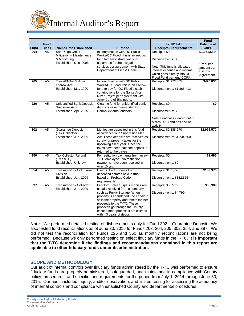

| <b>Fund</b> | <b>Fund</b><br><b>Class</b> | <b>Name/Date Established</b>              | <b>Purpose</b>                                                      | FY 2014-15<br><b>Receipts/Disbursements</b>              | <b>Fund</b><br><b>Balance at</b><br>6/30/15 |
|-------------|-----------------------------|-------------------------------------------|---------------------------------------------------------------------|----------------------------------------------------------|---------------------------------------------|
| 204         | A <sub>5</sub>              | San Diego Creek                           | In coordination with OC Public                                      | Receipts: \$0                                            | \$1,061,562*                                |
|             |                             | Mitigation - Maintenance                  | Works/OC Flood, this is an escrow<br>fund to demonstrate financial  |                                                          |                                             |
|             |                             | & Monitoring<br>Established: Dec. 2005    | assurance for the mitigation                                        | Disbursements: \$0                                       |                                             |
|             |                             |                                           | services per agreement with State                                   | Note: This fund is allocated                             | *Required<br>amount per                     |
|             |                             |                                           | Department of Fish & Game.                                          | interest expense and income                              | Escrow                                      |
|             |                             |                                           |                                                                     | which goes directly into OC<br>Flood Fund per fund COFA. | Agreement                                   |
| 205         | A <sub>5</sub>              | Treas/EMA-US Army                         | In coordination with OC Public                                      | Receipts: \$1,972,655                                    | \$476,830                                   |
|             |                             | <b>Escrow Acct</b>                        | Works/OC Flood, this is an escrow                                   |                                                          |                                             |
|             |                             | Established: May 1990                     | fund to pay for OC Flood's cash                                     | Disbursements: \$1,866,412                               |                                             |
|             |                             |                                           | contributions for the Santa Ana<br>River Project per agreement with |                                                          |                                             |
|             |                             |                                           | Army Corp of Engineers.                                             |                                                          |                                             |
| 226         | A <sub>5</sub>              | <b>Unidentified Bank Deposit</b>          | Clearing fund for unidentified bank                                 | Receipts: \$0                                            | \$0                                         |
|             |                             | Suspense Acct.<br>Established: Apr. 2005  | deposits as recommended by<br>County external auditors.             | Disbursements: \$0                                       |                                             |
|             |                             |                                           |                                                                     |                                                          |                                             |
|             |                             |                                           |                                                                     | Note: Fund was cleared out in                            |                                             |
|             |                             |                                           |                                                                     | March 2013 and has had no                                |                                             |
| 302         | A <sub>5</sub>              | <b>Guarantee Deposit</b>                  | Monies are deposited in this fund in                                | activity.<br>Receipts: \$2,888,570                       | \$2,996,570                                 |
|             |                             | (Tax Collector)                           | accordance with Subdivision Map                                     |                                                          |                                             |
|             |                             | Established: Jun. 2009                    | Act. These deposits are received as                                 | Disbursements: \$1,234,660                               |                                             |
|             |                             |                                           | surety for property taxes for the<br>upcoming fiscal year. Once the |                                                          |                                             |
|             |                             |                                           | taxes have been paid the deposit is                                 |                                                          |                                             |
|             |                             |                                           | returned to the payee.                                              |                                                          |                                             |
| 350         | A <sub>5</sub>              | Tax Collector Refund                      | For restitution payments from an ex-                                | Receipts: \$0                                            | \$2,695                                     |
|             |                             | (Treas/TC)<br>Established: Unknown        | T-TC employee. No restitution<br>payments have been received in     | Disbursements: \$0                                       |                                             |
|             |                             |                                           | over 10 yrs.                                                        |                                                          |                                             |
| 354         | A <sub>5</sub>              | Treasurer-Tax Coll, Treas                 | Used to track monies from                                           | Receipts: \$165,720                                      | \$189,376                                   |
|             |                             | <b>Division</b><br>Established: Jun. 2009 | deceased estates held in trust<br>based on Probate Code             | Disbursements: \$382,366                                 |                                             |
|             |                             |                                           | requirements.                                                       |                                                          |                                             |
| 397         | A <sub>5</sub>              | <b>Treasurer-Tax Collector</b>            | Landlord Sales Surplus monies are                                   | Receipts: \$33,576                                       | \$56,989                                    |
|             |                             | Established: Jun. 2009                    | usually received from a company                                     |                                                          |                                             |
|             |                             |                                           | such as Public Storage. When<br>property is abandoned, the Landlord | Disbursements: \$4,799                                   |                                             |
|             |                             |                                           | sells the property and remits the net                               |                                                          |                                             |
|             |                             |                                           | proceeds to the T-TC. These                                         |                                                          |                                             |
|             |                             |                                           | proceeds go through the County                                      |                                                          |                                             |
|             |                             |                                           | escheatment process if not claimed<br>within 3 years of deposit.    |                                                          |                                             |

**Note**: We performed detailed testing of disbursements only for Fund 302 – Guarantee Deposit. We also tested fund reconciliations as of June 30, 2015 for Funds 203, 204, 205, 302, 354, and 397. We did not test the reconciliation for Funds 226 and 350 as monthly reconciliations are not being performed. Because we only performed testing on select fiduciary funds in the T-TC, **it is important that the T-TC determine if the findings and recommendations contained in this report are applicable to other fiduciary funds under its administration.** 

### **SCOPE AND METHODOLOGY**

Our audit of internal controls over fiduciary funds administered by the T-TC was performed to ensure fiduciary funds are properly administered, safeguarded, and maintained in compliance with County policy, procedures, and specific fund requirements for the period from July 1, 2014 through June 30, 2015. Our audit included inquiry, auditor observation, and limited testing for assessing the adequacy of internal controls and compliance with established County and departmental procedures.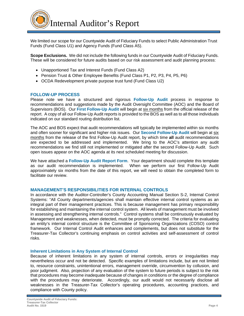Internal Auditor's Report

We limited our scope for our Countywide Audit of Fiduciary Funds to select Public Administration Trust Funds (Fund Class U1) and Agency Funds (Fund Class A5).

**Scope Exclusions.** We did not include the following funds in our Countywide Audit of Fiduciary Funds. These will be considered for future audits based on our risk assessment and audit planning process:

- Unapportioned Tax and Interest Funds (Fund Class A2)
- Pension Trust & Other Employee Benefits (Fund Class P1, P2, P3, P4, P5, P6)
- OCDA Redevelopment private purpose trust fund (Fund Class U2)

#### **FOLLOW-UP PROCESS**

Please note we have a structured and rigorous **Follow-Up Audit** process in response to recommendations and suggestions made by the Audit Oversight Committee (AOC) and the Board of Supervisors (BOS). Our **First Follow-Up Audit** will begin at six months from the official release of the report. A copy of all our Follow-Up Audit reports is provided to the BOS as well as to all those individuals indicated on our standard routing distribution list.

The AOC and BOS expect that audit recommendations will typically be implemented within six months and often sooner for significant and higher risk issues. Our **Second Follow-Up Audit** will begin at six months from the release of the first Follow-Up Audit report, by which time **all** audit recommendations are expected to be addressed and implemented. We bring to the AOC's attention any audit recommendations we find still not implemented or mitigated after the second Follow-Up Audit. Such open issues appear on the AOC agenda at its next scheduled meeting for discussion.

We have attached a **Follow-Up Audit Report Form**. Your department should complete this template as our audit recommendation is implemented. When we perform our first Follow-Up Audit approximately six months from the date of this report, we will need to obtain the completed form to facilitate our review.

#### **MANAGEMENT'S RESPONSIBILITIES FOR INTERNAL CONTROLS**

In accordance with the Auditor-Controller's County Accounting Manual Section S-2, Internal Control Systems: "All County departments/agencies shall maintain effective internal control systems as an integral part of their management practices. This is because management has primary responsibility for establishing and maintaining the internal control system. All levels of management must be involved in assessing and strengthening internal controls." Control systems shall be continuously evaluated by Management and weaknesses, when detected, must be promptly corrected. The criteria for evaluating an entity's internal control structure is the Committee of Sponsoring Organizations (COSO) control framework. Our Internal Control Audit enhances and complements, but does not substitute for the Treasurer-Tax Collector's continuing emphasis on control activities and self-assessment of control risks.

#### **Inherent Limitations in Any System of Internal Control**

Because of inherent limitations in any system of internal controls, errors or irregularities may nevertheless occur and not be detected. Specific examples of limitations include, but are not limited to, resource constraints, unintentional errors, management override, circumvention by collusion, and poor judgment. Also, projection of any evaluation of the system to future periods is subject to the risk that procedures may become inadequate because of changes in conditions or the degree of compliance with the procedures may deteriorate. Accordingly, our audit would not necessarily disclose all weaknesses in the Treasurer-Tax Collector's operating procedures, accounting practices, and compliance with County policy.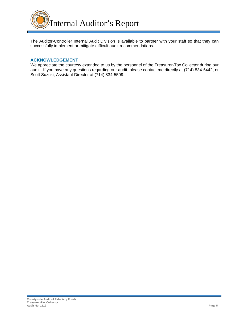

The Auditor-Controller Internal Audit Division is available to partner with your staff so that they can successfully implement or mitigate difficult audit recommendations.

#### **ACKNOWLEDGEMENT**

We appreciate the courtesy extended to us by the personnel of the Treasurer-Tax Collector during our audit. If you have any questions regarding our audit, please contact me directly at (714) 834-5442, or Scott Suzuki, Assistant Director at (714) 834-5509.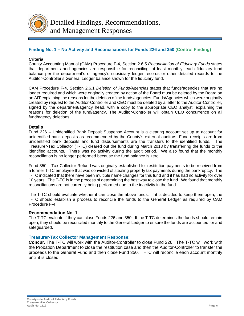

### **Finding No. 1 – No Activity and Reconciliations for Funds 226 and 350 (Control Finding)**

#### **Criteria**

County Accounting Manual (CAM) Procedure F-4, Section 2.6.5 *Reconciliation of Fiduciary Funds* states that departments and agencies are responsible for reconciling, at least monthly, each fiduciary fund balance per the department's or agency's subsidiary ledger records or other detailed records to the Auditor-Controller's General Ledger balance shown for the fiduciary fund.

CAM Procedure F-4, Section 2.6.1 *Deletion of Funds/Agencies* states that funds/agencies that are no longer required and which were originally created by action of the Board must be deleted by the Board on an AIT explaining the reasons for the deletion of the funds/agencies. Funds/Agencies which were originally created by request to the Auditor-Controller and CEO must be deleted by a letter to the Auditor-Controller, signed by the department/agency head, with a copy to the appropriate CEO analyst, explaining the reasons for deletion of the fund/agency. The Auditor-Controller will obtain CEO concurrence on all fund/agency deletions.

#### **Details**

Fund 226 – Unidentified Bank Deposit Suspense Account is a clearing account set up to account for unidentified bank deposits as recommended by the County's external auditors. Fund receipts are from unidentified bank deposits and fund disbursements are the transfers to the identified funds. The Treasurer-Tax Collector (T-TC) cleared out the fund during March 2013 by transferring the funds to the identified accounts. There was no activity during the audit period. We also found that the monthly reconciliation is no longer performed because the fund balance is zero.

Fund 350 – Tax Collector Refund was originally established for restitution payments to be received from a former T-TC employee that was convicted of stealing property tax payments during the bankruptcy. The T-TC indicated that there have been multiple name changes for this fund and it has had no activity for over 10 years. The T-TC is in the process of determining the best way to close the fund. We found that monthly reconciliations are not currently being performed due to the inactivity in the fund.

The T-TC should evaluate whether it can close the above funds. If it is decided to keep them open, the T-TC should establish a process to reconcile the funds to the General Ledger as required by CAM Procedure F-4.

#### **Recommendation No. 1**:

The T-TC evaluate if they can close Funds 226 and 350. If the T-TC determines the funds should remain open, they should be reconciled monthly to the General Ledger to ensure the funds are accounted for and safeguarded.

### **Treasurer-Tax Collector Management Response:**

**Concur.** The T-TC will work with the Auditor-Controller to close Fund 226. The T-TC will work with the Probation Department to close the restitution case and then the Auditor-Controller to transfer the proceeds to the General Fund and then close Fund 350. T-TC will reconcile each account monthly until it is closed.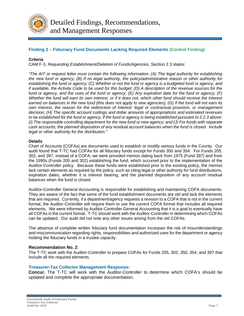

# **Finding 2 – Fiduciary Fund Documents Lacking Required Elements (Control Finding)**

#### **Criteria**

CAM F-3, *Requesting Establishment/Deletion of Funds/Agencies*, Section 2.3 states:

*"The AIT or request letter must contain the following information: (A) The legal authority for establishing the new fund or agency; (B) If no legal authority, the policy/administrative reason or other authority for establishing the fund or agency; (C) Whether or not the fund or agency is a budgeted fund or agency, and if available, the Activity Code to be used for this budget; (D) A description of the revenue sources for the fund or agency, and the uses of the fund or agency; (E) Any expiration date for the fund or agency; (F) Whether the fund will earn its own interest, or if it does not, which other fund should receive the interest earned on balances in the new fund (this does not apply to new agencies); (G) If the fund will not earn its own interest, the reason for the redirection of interest: legal or contractual provision, or management decision; (H) The specific account codings and dollar amounts of appropriations and estimated revenues to be established for the fund or agency, if the fund or agency is being established pursuant to 2.2.3 above; (I) The responsible controlling department for the new fund or new agency; and (J) For funds with separate cash accounts, the planned disposition of any residual account balances when the fund is closed. Include legal or other authority for the distribution."* 

#### **Details**

Chart of Accounts (COFAs) are documents used to establish or modify various funds in the County. Our audit found that T-TC had COFAs for all fiduciary funds except for Funds 350 and 354. For Funds 205, 302, and 397, instead of a COFA, we were provided memos dating back from 1975 (Fund 397) and from the 1990s (Funds 205 and 302) establishing the fund, which occurred prior to the implementation of the Auditor-Controller policy. Because these funds were established prior to the existing policy, the memos lack certain elements as required by the policy, such as citing legal or other authority for fund distributions, expiration dates, whether it is interest bearing, and the planned disposition of any account residual balances when the fund is closed.

Auditor-Controller General Accounting is responsible for establishing and maintaining COFA documents. They are aware of the fact that some of the fund establishment documents are old and lack the elements that are required. Currently, if a department/agency requests a revision to a COFA that is not in the current format, the Auditor-Controller will require them to use the current COFA format that includes all required elements. We were informed by Auditor-Controller General Accounting that it is a goal to eventually have all COFAs in the current format. T-TC should work with the Auditor-Controller in determining which COFAs can be updated. Our audit did not note any other issues arising from the old COFAs.

The absence of complete written fiduciary fund documentation increases the risk of misunderstandings and miscommunication regarding rights, responsibilities and authorized uses for the department or agency holding the fiduciary funds in a trustee capacity.

#### **Recommendation No. 2**:

The T-TC work with the Auditor-Controller to prepare COFAs for Funds 205, 302, 350, 354, and 397 that include all the required elements.

#### **Treasurer-Tax Collector Management Response:**

**Concur.** The T-TC will work with the Auditor-Controller to determine which COFA's should be updated and complete the appropriate documentation.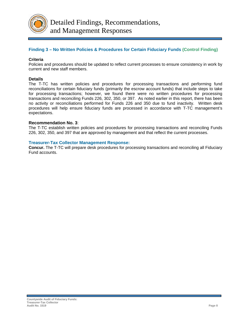

Detailed Findings, Recommendations, and Management Responses

# **Finding 3 – No Written Policies & Procedures for Certain Fiduciary Funds (Control Finding)**

#### **Criteria**

Policies and procedures should be updated to reflect current processes to ensure consistency in work by current and new staff members.

#### **Details**

The T-TC has written policies and procedures for processing transactions and performing fund reconciliations for certain fiduciary funds (primarily the escrow account funds) that include steps to take for processing transactions; however, we found there were no written procedures for processing transactions and reconciling Funds 226, 302, 350, or 397. As noted earlier in this report, there has been no activity or reconciliations performed for Funds 226 and 350 due to fund inactivity. Written desk procedures will help ensure fiduciary funds are processed in accordance with T-TC management's expectations.

#### **Recommendation No. 3**:

The T-TC establish written policies and procedures for processing transactions and reconciling Funds 226, 302, 350, and 397 that are approved by management and that reflect the current processes.

#### **Treasurer-Tax Collector Management Response:**

**Concur.** The T-TC will prepare desk procedures for processing transactions and reconciling all Fiduciary Fund accounts.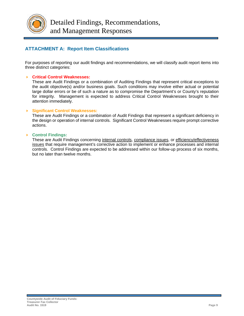

Detailed Findings, Recommendations, and Management Responses

# **ATTACHMENT A: Report Item Classifications**

For purposes of reporting our audit findings and recommendations, we will classify audit report items into three distinct categories:

#### **Critical Control Weaknesses:**

These are Audit Findings or a combination of Auditing Findings that represent critical exceptions to the audit objective(s) and/or business goals. Such conditions may involve either actual or potential large dollar errors or be of such a nature as to compromise the Department's or County's reputation for integrity. Management is expected to address Critical Control Weaknesses brought to their attention immediately.

#### **Significant Control Weaknesses:**

These are Audit Findings or a combination of Audit Findings that represent a significant deficiency in the design or operation of internal controls. Significant Control Weaknesses require prompt corrective actions.

#### **Control Findings:**

These are Audit Findings concerning internal controls, compliance issues, or efficiency/effectiveness issues that require management's corrective action to implement or enhance processes and internal controls. Control Findings are expected to be addressed within our follow-up process of six months, but no later than twelve months.